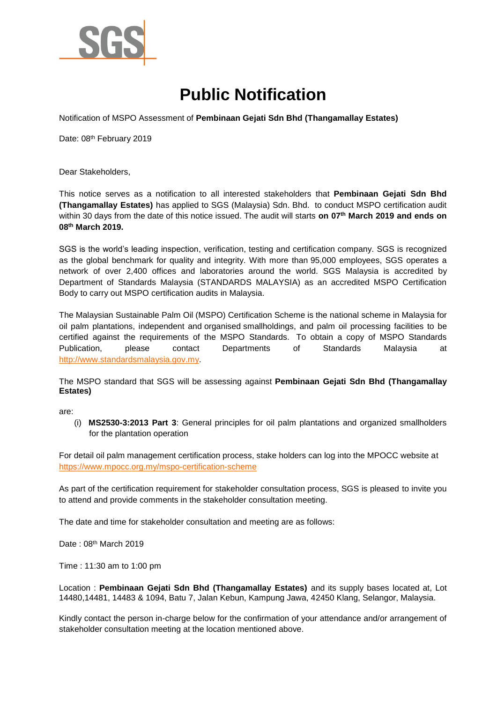

## **Public Notification**

Notification of MSPO Assessment of **Pembinaan Gejati Sdn Bhd (Thangamallay Estates)**

Date: 08th February 2019

Dear Stakeholders,

This notice serves as a notification to all interested stakeholders that **Pembinaan Gejati Sdn Bhd (Thangamallay Estates)** has applied to SGS (Malaysia) Sdn. Bhd. to conduct MSPO certification audit within 30 days from the date of this notice issued. The audit will starts **on 07th March 2019 and ends on 08th March 2019.** 

SGS is the world's leading inspection, verification, testing and certification company. SGS is recognized as the global benchmark for quality and integrity. With more than 95,000 employees, SGS operates a network of over 2,400 offices and laboratories around the world. SGS Malaysia is accredited by Department of Standards Malaysia (STANDARDS MALAYSIA) as an accredited MSPO Certification Body to carry out MSPO certification audits in Malaysia.

The Malaysian Sustainable Palm Oil (MSPO) Certification Scheme is the national scheme in Malaysia for oil palm plantations, independent and organised smallholdings, and palm oil processing facilities to be certified against the requirements of the MSPO Standards. To obtain a copy of MSPO Standards Publication, please contact Departments of Standards Malaysia at [http://www.standardsmalaysia.gov.my.](http://www.standardsmalaysia.gov.my/)

The MSPO standard that SGS will be assessing against **Pembinaan Gejati Sdn Bhd (Thangamallay Estates)**

are:

(i) **MS2530-3:2013 Part 3**: General principles for oil palm plantations and organized smallholders for the plantation operation

For detail oil palm management certification process, stake holders can log into the MPOCC website at <https://www.mpocc.org.my/mspo-certification-scheme>

As part of the certification requirement for stakeholder consultation process, SGS is pleased to invite you to attend and provide comments in the stakeholder consultation meeting.

The date and time for stakeholder consultation and meeting are as follows:

Date: 08<sup>th</sup> March 2019

Time : 11:30 am to 1:00 pm

Location : **Pembinaan Gejati Sdn Bhd (Thangamallay Estates)** and its supply bases located at, Lot 14480,14481, 14483 & 1094, Batu 7, Jalan Kebun, Kampung Jawa, 42450 Klang, Selangor, Malaysia.

Kindly contact the person in-charge below for the confirmation of your attendance and/or arrangement of stakeholder consultation meeting at the location mentioned above.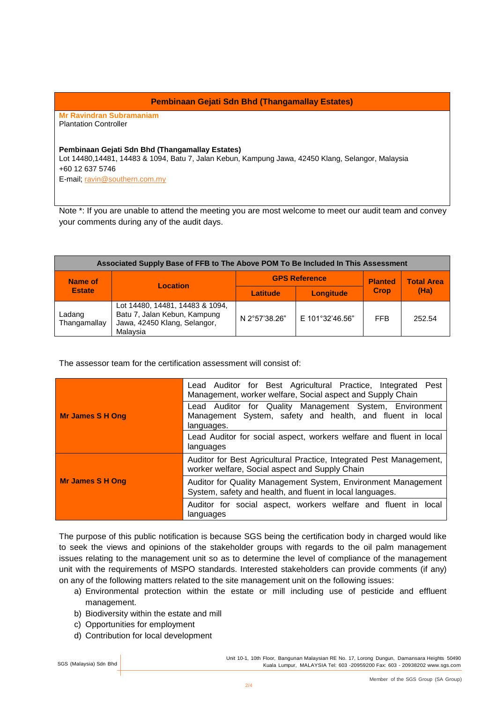## **Pembinaan Gejati Sdn Bhd (Thangamallay Estates)**

**Mr Ravindran Subramaniam**  Plantation Controller

## **Pembinaan Gejati Sdn Bhd (Thangamallay Estates)**

Lot 14480,14481, 14483 & 1094, Batu 7, Jalan Kebun, Kampung Jawa, 42450 Klang, Selangor, Malaysia +60 12 637 5746

E-mail; [ravin@southern.com.my](file:///D:/ravin@southern.com.my)

Note \*: If you are unable to attend the meeting you are most welcome to meet our audit team and convey your comments during any of the audit days.

| Associated Supply Base of FFB to The Above POM To Be Included In This Assessment |                                                                                                             |                      |                  |                |                   |  |
|----------------------------------------------------------------------------------|-------------------------------------------------------------------------------------------------------------|----------------------|------------------|----------------|-------------------|--|
| Name of<br><b>Estate</b>                                                         | Location                                                                                                    | <b>GPS Reference</b> |                  | <b>Planted</b> | <b>Total Area</b> |  |
|                                                                                  |                                                                                                             | Latitude             | <b>Longitude</b> | <b>Crop</b>    | (Ha)              |  |
| Ladang<br>Thangamallay                                                           | Lot 14480, 14481, 14483 & 1094,<br>Batu 7, Jalan Kebun, Kampung<br>Jawa, 42450 Klang, Selangor,<br>Malavsia | N 2°57'38.26"        | E 101°32'46.56"  | <b>FFB</b>     | 252.54            |  |

The assessor team for the certification assessment will consist of:

|                         | Lead Auditor for Best Agricultural Practice, Integrated Pest<br>Management, worker welfare, Social aspect and Supply Chain         |  |  |
|-------------------------|------------------------------------------------------------------------------------------------------------------------------------|--|--|
| <b>Mr James S H Ong</b> | Lead Auditor for Quality Management System, Environment<br>Management System, safety and health, and fluent in local<br>languages. |  |  |
|                         | Lead Auditor for social aspect, workers welfare and fluent in local<br>languages                                                   |  |  |
|                         | Auditor for Best Agricultural Practice, Integrated Pest Management,<br>worker welfare, Social aspect and Supply Chain              |  |  |
| <b>Mr James S H Ong</b> | Auditor for Quality Management System, Environment Management<br>System, safety and health, and fluent in local languages.         |  |  |
|                         | Auditor for social aspect, workers welfare and fluent in local<br>languages                                                        |  |  |

The purpose of this public notification is because SGS being the certification body in charged would like to seek the views and opinions of the stakeholder groups with regards to the oil palm management issues relating to the management unit so as to determine the level of compliance of the management unit with the requirements of MSPO standards. Interested stakeholders can provide comments (if any) on any of the following matters related to the site management unit on the following issues:

- a) Environmental protection within the estate or mill including use of pesticide and effluent management.
- b) Biodiversity within the estate and mill
- c) Opportunities for employment
- d) Contribution for local development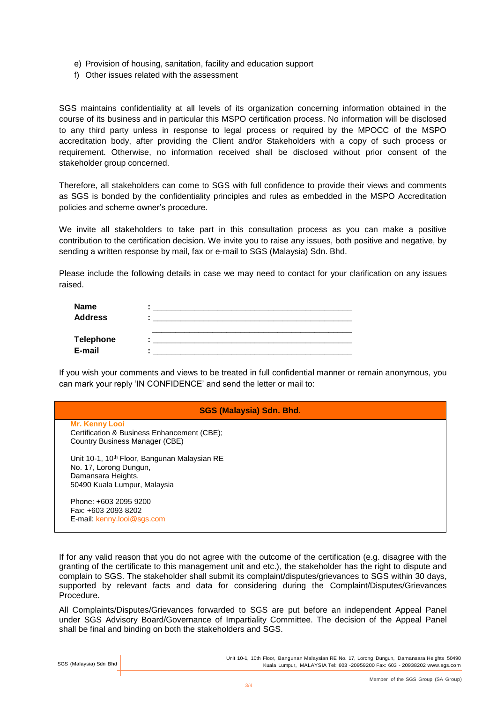- e) Provision of housing, sanitation, facility and education support
- f) Other issues related with the assessment

SGS maintains confidentiality at all levels of its organization concerning information obtained in the course of its business and in particular this MSPO certification process. No information will be disclosed to any third party unless in response to legal process or required by the MPOCC of the MSPO accreditation body, after providing the Client and/or Stakeholders with a copy of such process or requirement. Otherwise, no information received shall be disclosed without prior consent of the stakeholder group concerned.

Therefore, all stakeholders can come to SGS with full confidence to provide their views and comments as SGS is bonded by the confidentiality principles and rules as embedded in the MSPO Accreditation policies and scheme owner's procedure.

We invite all stakeholders to take part in this consultation process as you can make a positive contribution to the certification decision. We invite you to raise any issues, both positive and negative, by sending a written response by mail, fax or e-mail to SGS (Malaysia) Sdn. Bhd.

Please include the following details in case we may need to contact for your clarification on any issues raised.

| <b>Name</b>      |  |
|------------------|--|
| <b>Address</b>   |  |
|                  |  |
| <b>Telephone</b> |  |
| E-mail           |  |

If you wish your comments and views to be treated in full confidential manner or remain anonymous, you can mark your reply 'IN CONFIDENCE' and send the letter or mail to:

## **SGS (Malaysia) Sdn. Bhd.**

**Mr. Kenny Looi** Certification & Business Enhancement (CBE); Country Business Manager (CBE)

Unit 10-1, 10<sup>th</sup> Floor, Bangunan Malaysian RE No. 17, Lorong Dungun, Damansara Heights, 50490 Kuala Lumpur, Malaysia

Phone: +603 2095 9200 Fax: +603 2093 8202 E-mail: [kenny.looi@sgs.com](mailto:kenny.looi@sgs.com)

If for any valid reason that you do not agree with the outcome of the certification (e.g. disagree with the granting of the certificate to this management unit and etc.), the stakeholder has the right to dispute and complain to SGS. The stakeholder shall submit its complaint/disputes/grievances to SGS within 30 days, supported by relevant facts and data for considering during the Complaint/Disputes/Grievances Procedure.

All Complaints/Disputes/Grievances forwarded to SGS are put before an independent Appeal Panel under SGS Advisory Board/Governance of Impartiality Committee. The decision of the Appeal Panel shall be final and binding on both the stakeholders and SGS.